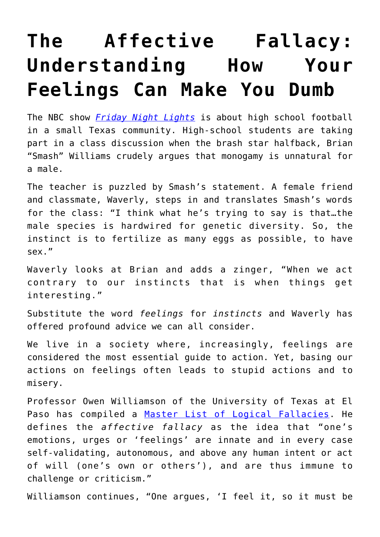## **[The Affective Fallacy:](https://intellectualtakeout.org/2018/08/the-affective-fallacy-understanding-how-your-feelings-can-make-you-dumb/) [Understanding How Your](https://intellectualtakeout.org/2018/08/the-affective-fallacy-understanding-how-your-feelings-can-make-you-dumb/) [Feelings Can Make You Dumb](https://intellectualtakeout.org/2018/08/the-affective-fallacy-understanding-how-your-feelings-can-make-you-dumb/)**

The NBC show *[Friday Night Lights](https://www.amazon.com/Pilot/dp/B000V5RUES/)* is about high school football in a small Texas community. High-school students are taking part in a class discussion when the brash star halfback, Brian "Smash" Williams crudely argues that monogamy is unnatural for a male.

The teacher is puzzled by Smash's statement. A female friend and classmate, Waverly, steps in and translates Smash's words for the class: "I think what he's trying to say is that…the male species is hardwired for genetic diversity. So, the instinct is to fertilize as many eggs as possible, to have sex."

Waverly looks at Brian and adds a zinger, "When we act contrary to our instincts that is when things get interesting."

Substitute the word *feelings* for *instincts* and Waverly has offered profound advice we can all consider.

We live in a society where, increasingly, feelings are considered the most essential guide to action. Yet, basing our actions on feelings often leads to stupid actions and to misery.

Professor Owen Williamson of the University of Texas at El Paso has compiled a [Master List of Logical Fallacies](http://utminers.utep.edu/omwilliamson/ENGL1311/fallacies.htm). He defines the *affective fallacy* as the idea that "one's emotions, urges or 'feelings' are innate and in every case self-validating, autonomous, and above any human intent or act of will (one's own or others'), and are thus immune to challenge or criticism."

Williamson continues, "One argues, 'I feel it, so it must be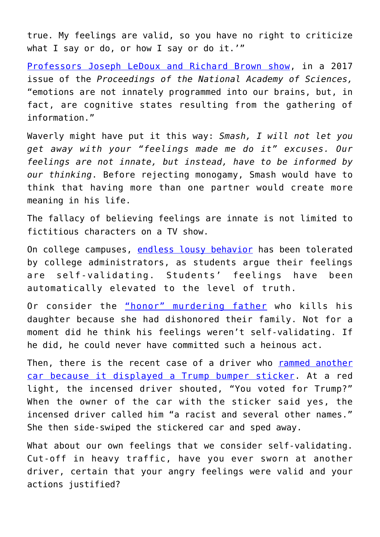true. My feelings are valid, so you have no right to criticize what I say or do, or how I say or do it.'"

[Professors Joseph LeDoux and Richard Brown show,](https://www.eurekalert.org/pub_releases/2017-02/nyu-eac021517.php) in a 2017 issue of the *Proceedings of the National Academy of Sciences,* "emotions are not innately programmed into our brains, but, in fact, are cognitive states resulting from the gathering of information."

Waverly might have put it this way: *Smash, I will not let you get away with your "feelings made me do it" excuses. Our feelings are not innate, but instead, have to be informed by our thinking*. Before rejecting monogamy, Smash would have to think that having more than one partner would create more meaning in his life.

The fallacy of believing feelings are innate is not limited to fictitious characters on a TV show.

On college campuses, [endless lousy behavior](https://www.nytimes.com/2017/06/01/opinion/when-the-left-turns-on-its-own.html) has been tolerated by college administrators, as students argue their feelings are self-validating. Students' feelings have been automatically elevated to the level of truth.

Or consider the ["honor" murdering father](https://www.chron.com/news/houston-texas/houston/article/Honor-killing-defendant-s-first-wife-13130101.php) who kills his daughter because she had dishonored their family. Not for a moment did he think his feelings weren't self-validating. If he did, he could never have committed such a heinous act.

Then, there is the recent case of a driver who [rammed another](http://www.capecodtimes.com/news/20180731/woman-accused-of-hitting-car-in-hyannis-after-confrontation-over-trump-bumper-sticker) [car because it displayed a Trump bumper sticker](http://www.capecodtimes.com/news/20180731/woman-accused-of-hitting-car-in-hyannis-after-confrontation-over-trump-bumper-sticker). At a red light, the incensed driver shouted, "You voted for Trump?" When the owner of the car with the sticker said yes, the incensed driver called him "a racist and several other names." She then side-swiped the stickered car and sped away.

What about our own feelings that we consider self-validating. Cut-off in heavy traffic, have you ever sworn at another driver, certain that your angry feelings were valid and your actions justified?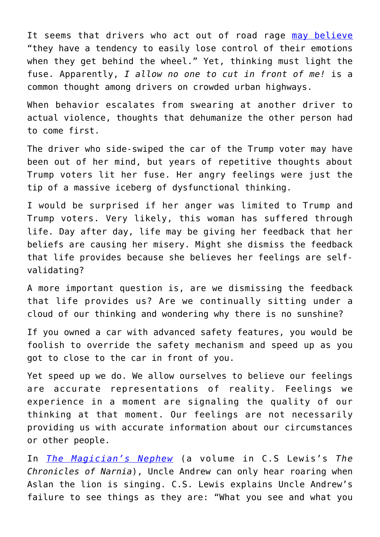It seems that drivers who act out of road rage [may believe](https://www.psychologytoday.com/us/blog/the-act-violence/201301/the-psychology-road-rage) "they have a tendency to easily lose control of their emotions when they get behind the wheel." Yet, thinking must light the fuse. Apparently, *I allow no one to cut in front of me!* is a common thought among drivers on crowded urban highways.

When behavior escalates from swearing at another driver to actual violence, thoughts that dehumanize the other person had to come first.

The driver who side-swiped the car of the Trump voter may have been out of her mind, but years of repetitive thoughts about Trump voters lit her fuse. Her angry feelings were just the tip of a massive iceberg of dysfunctional thinking.

I would be surprised if her anger was limited to Trump and Trump voters. Very likely, this woman has suffered through life. Day after day, life may be giving her feedback that her beliefs are causing her misery. Might she dismiss the feedback that life provides because she believes her feelings are selfvalidating?

A more important question is, are we dismissing the feedback that life provides us? Are we continually sitting under a cloud of our thinking and wondering why there is no sunshine?

If you owned a car with advanced safety features, you would be foolish to override the safety mechanism and speed up as you got to close to the car in front of you.

Yet speed up we do. We allow ourselves to believe our feelings are accurate representations of reality. Feelings we experience in a moment are signaling the quality of our thinking at that moment. Our feelings are not necessarily providing us with accurate information about our circumstances or other people.

In *[The Magician's Nephew](https://www.amazon.com/Magicians-Nephew-C-S-Lewis/dp/0064405052)* (a volume in C.S Lewis's *The Chronicles of Narnia*), Uncle Andrew can only hear roaring when Aslan the lion is singing. C.S. Lewis explains Uncle Andrew's failure to see things as they are: "What you see and what you